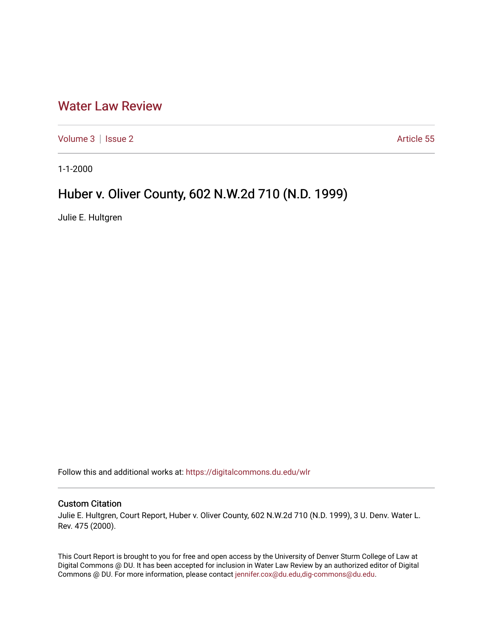## [Water Law Review](https://digitalcommons.du.edu/wlr)

[Volume 3](https://digitalcommons.du.edu/wlr/vol3) | [Issue 2](https://digitalcommons.du.edu/wlr/vol3/iss2) Article 55

1-1-2000

# Huber v. Oliver County, 602 N.W.2d 710 (N.D. 1999)

Julie E. Hultgren

Follow this and additional works at: [https://digitalcommons.du.edu/wlr](https://digitalcommons.du.edu/wlr?utm_source=digitalcommons.du.edu%2Fwlr%2Fvol3%2Fiss2%2F55&utm_medium=PDF&utm_campaign=PDFCoverPages) 

#### Custom Citation

Julie E. Hultgren, Court Report, Huber v. Oliver County, 602 N.W.2d 710 (N.D. 1999), 3 U. Denv. Water L. Rev. 475 (2000).

This Court Report is brought to you for free and open access by the University of Denver Sturm College of Law at Digital Commons @ DU. It has been accepted for inclusion in Water Law Review by an authorized editor of Digital Commons @ DU. For more information, please contact [jennifer.cox@du.edu,dig-commons@du.edu.](mailto:jennifer.cox@du.edu,dig-commons@du.edu)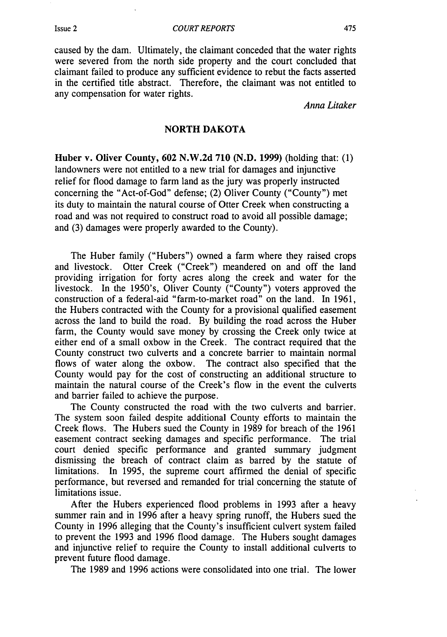caused by the dam. Ultimately, the claimant conceded that the water rights were severed from the north side property and the court concluded that claimant failed to produce any sufficient evidence to rebut the facts asserted in the certified title abstract. Therefore, the claimant was not entitled to any compensation for water rights.

*Anna Litaker*

### NORTH DAKOTA

Huber v. Oliver County, 602 N.W.2d 710 (N.D. **1999)** (holding that: (1) landowners were not entitled to a new trial for damages and injunctive relief for flood damage to farm land as the jury was properly instructed concerning the "Act-of-God" defense; (2) Oliver County ("County") met its duty to maintain the natural course of Otter Creek when constructing a road and was not required to construct road to avoid all possible damage; and (3) damages were properly awarded to the County).

The Huber family ("Hubers") owned a farm where they raised crops and livestock. Otter Creek ("Creek") meandered on and off the land providing irrigation for forty acres along the creek and water for the livestock. In the 1950's, Oliver County ("County") voters approved the construction of a federal-aid "farm-to-market road" on the land. In 1961, the Hubers contracted with the County for a provisional qualified easement across the land to build the road. By building the road across the Huber farm, the County would save money by crossing the Creek only twice at either end of a small oxbow in the Creek. The contract required that the County construct two culverts and a concrete barrier to maintain normal flows of water along the oxbow. The contract also specified that the County would pay for the cost of constructing an additional structure to maintain the natural course of the Creek's flow in the event the culverts and barrier failed to achieve the purpose.

The County constructed the road with the two culverts and barrier. The system soon failed despite additional County efforts to maintain the Creek flows. The Hubers sued the County in 1989 for breach of the 1961 easement contract seeking damages and specific performance. The trial court denied specific performance and granted summary judgment dismissing the breach of contract claim as barred by the statute of limitations. In 1995, the supreme court affirmed the denial of specific performance, but reversed and remanded for trial concerning the statute of limitations issue.

After the Hubers experienced flood problems in 1993 after a heavy summer rain and in 1996 after a heavy spring runoff, the Hubers sued the County in 1996 alleging that the County's insufficient culvert system failed to prevent the 1993 and 1996 flood damage. The Hubers sought damages and injunctive relief to require the County to install additional culverts to prevent future flood damage.

The 1989 and 1996 actions were consolidated into one trial. The lower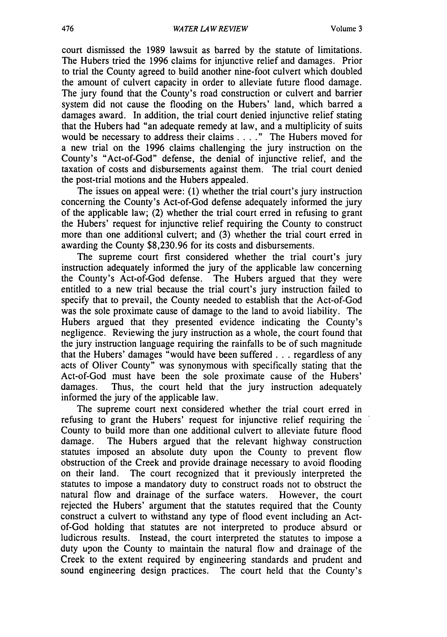court dismissed the 1989 lawsuit as barred by the statute of limitations. The Hubers tried the 1996 claims for injunctive relief and damages. Prior to trial the County agreed to build another nine-foot culvert which doubled the amount of culvert capacity in order to alleviate future flood damage. The jury found that the County's road construction or culvert and barrier system did not cause the flooding on the Hubers' land, which barred a damages award. In addition, the trial court denied injunctive relief stating that the Hubers had "an adequate remedy at law, and a multiplicity of suits would be necessary to address their claims . **. . ."** The Hubers moved for a new trial on the 1996 claims challenging the jury instruction on the County's "Act-of-God" defense, the denial of injunctive relief, and the taxation of costs and disbursements against them. The trial court denied the post-trial motions and the Hubers appealed.

The issues on appeal were: (1) whether the trial court's jury instruction concerning the County's Act-of-God defense adequately informed the jury of the applicable law; (2) whether the trial court erred in refusing to grant the Hubers' request for injunctive relief requiring the County to construct more than one additional culvert; and (3) whether the trial court erred in awarding the County \$8,230.96 for its costs and disbursements.

The supreme court first considered whether the trial court's jury instruction adequately informed the jury of the applicable law concerning the County's Act-of-God defense. The Hubers argued that they were entitled to a new trial because the trial court's jury instruction failed to specify that to prevail, the County needed to establish that the Act-of-God was the sole proximate cause of damage to the land to avoid liability. The Hubers argued that they presented evidence indicating the County's negligence. Reviewing the jury instruction as a whole, the court found that the jury instruction language requiring the rainfalls to be of such magnitude that the Hubers' damages "would have been suffered **. . .** regardless of any acts of Oliver County" was synonymous with specifically stating that the Act-of-God must have been the sole proximate cause of the Hubers' damages. Thus, the court held that the jury instruction adequately informed the jury of the applicable law.

The supreme court next considered whether the trial court erred in refusing to grant the Hubers' request for injunctive relief requiring the County to build more than one additional culvert to alleviate future flood damage. The Hubers argued that the relevant highway construction statutes imposed an absolute duty upon the County to prevent flow obstruction of the Creek and provide drainage necessary to avoid flooding on their land. The court recognized that it previously interpreted the statutes to impose a mandatory duty to construct roads not to obstruct the natural flow and drainage of the surface waters. However, the court rejected the Hubers' argument that the statutes required that the County construct a culvert to withstand any type of flood event including an Actof-God holding that statutes are not interpreted to produce absurd or ludicrous results. Instead, the court interpreted the statutes to impose a duty upon the County to maintain the natural flow and drainage of the Creek to the extent required by engineering standards and prudent and sound engineering design practices. The court held that the County's